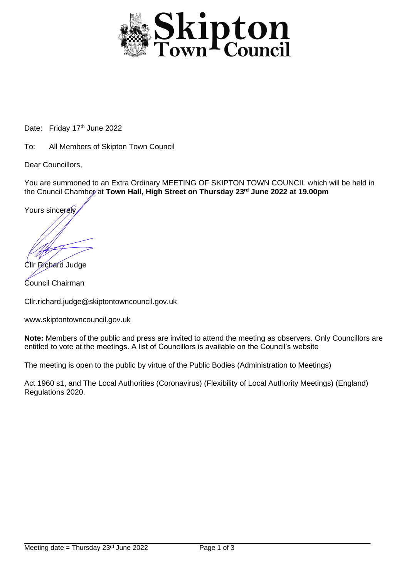

Date: Friday 17<sup>th</sup> June 2022

To: All Members of Skipton Town Council

Dear Councillors,

You are summoned to an Extra Ordinary MEETING OF SKIPTON TOWN COUNCIL which will be held in the Council Chamber at **Town Hall, High Street on Thursday 23rd June 2022 at 19.00pm**

Yours sincerely

Cllr Richard Judge Council Chairman

Cllr.richard.judge@skiptontowncouncil.gov.uk

www.skiptontowncouncil.gov.uk

**Note:** Members of the public and press are invited to attend the meeting as observers. Only Councillors are entitled to vote at the meetings. A list of Councillors is available on the Council's website

The meeting is open to the public by virtue of the Public Bodies (Administration to Meetings)

Act 1960 s1, and The Local Authorities (Coronavirus) (Flexibility of Local Authority Meetings) (England) Regulations 2020.

j.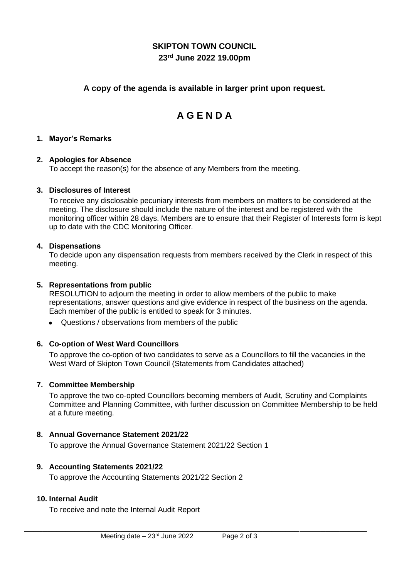# **SKIPTON TOWN COUNCIL 23rd June 2022 19.00pm**

# **A copy of the agenda is available in larger print upon request.**

# **A G E N D A**

#### **1. Mayor's Remarks**

#### **2. Apologies for Absence**

To accept the reason(s) for the absence of any Members from the meeting.

#### **3. Disclosures of Interest**

To receive any disclosable pecuniary interests from members on matters to be considered at the meeting. The disclosure should include the nature of the interest and be registered with the monitoring officer within 28 days. Members are to ensure that their Register of Interests form is kept up to date with the CDC Monitoring Officer.

#### **4. Dispensations**

To decide upon any dispensation requests from members received by the Clerk in respect of this meeting.

#### **5. Representations from public**

RESOLUTION to adjourn the meeting in order to allow members of the public to make representations, answer questions and give evidence in respect of the business on the agenda. Each member of the public is entitled to speak for 3 minutes.

• Questions / observations from members of the public

## **6. Co-option of West Ward Councillors**

To approve the co-option of two candidates to serve as a Councillors to fill the vacancies in the West Ward of Skipton Town Council (Statements from Candidates attached)

#### **7. Committee Membership**

To approve the two co-opted Councillors becoming members of Audit, Scrutiny and Complaints Committee and Planning Committee, with further discussion on Committee Membership to be held at a future meeting.

\_\_\_\_\_\_\_\_\_\_\_\_\_\_\_\_\_\_\_\_\_\_\_\_\_\_\_\_\_\_\_\_\_\_\_\_\_\_\_\_\_\_\_\_\_\_\_\_\_\_\_\_\_\_\_\_\_\_\_\_ \_\_\_\_\_\_\_\_\_\_

## **8. Annual Governance Statement 2021/22**

To approve the Annual Governance Statement 2021/22 Section 1

#### **9. Accounting Statements 2021/22**

To approve the Accounting Statements 2021/22 Section 2

## **10. Internal Audit**

To receive and note the Internal Audit Report